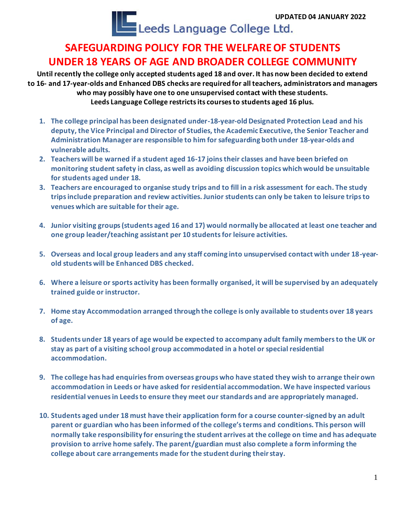UPDATED 04 JANUARY 2022

## **SAFEGUARDING POLICY FOR THE WELFARE OF STUDENTS UNDER 18 YEARS OF AGE AND BROADER COLLEGE COMMUNITY**

**Until recently the college only accepted students aged 18 and over. It has now been decided to extend to 16- and 17-year-olds and Enhanced DBS checks are required for all teachers, administrators and managers who may possibly have one to one unsupervised contact with these students. Leeds Language College restricts its courses to students aged 16 plus.**

- **1. The college principal has been designated under-18-year-old Designated Protection Lead and his deputy, the Vice Principal and Director of Studies, the Academic Executive, the Senior Teacher and Administration Manager are responsible to him for safeguarding both under 18-year-olds and vulnerable adults.**
- **2. Teachers will be warned if a student aged 16-17 joins their classes and have been briefed on monitoring student safety in class, as well as avoiding discussion topics which would be unsuitable for students aged under 18.**
- **3. Teachers are encouraged to organise study trips and to fill in a risk assessment for each. The study trips include preparation and review activities. Junior students can only be taken to leisure trips to venues which are suitable for their age.**
- **4. Junior visiting groups (students aged 16 and 17) would normally be allocated at least one teacher and one group leader/teaching assistant per 10 students for leisure activities.**
- **5. Overseas and local group leaders and any staff coming into unsupervised contact with under 18-yearold students will be Enhanced DBS checked.**
- **6. Where a leisure or sports activity has been formally organised, it will be supervised by an adequately trained guide or instructor.**
- **7. Home stay Accommodation arranged through the college is only available to students over 18 years of age.**
- **8. Students under 18 years of age would be expected to accompany adult family members to the UK or stay as part of a visiting school group accommodated in a hotel or special residential accommodation.**
- **9. The college has had enquiries from overseas groups who have stated they wish to arrange their own accommodation in Leeds or have asked for residential accommodation. We have inspected various residential venues in Leeds to ensure they meet our standards and are appropriately managed.**
- **10. Students aged under 18 must have their application form for a course counter-signed by an adult parent or guardian who has been informed of the college's terms and conditions. This person will normally take responsibility for ensuring the student arrives at the college on time and has adequate provision to arrive home safely. The parent/guardian must also complete a form informing the college about care arrangements made for the student during their stay.**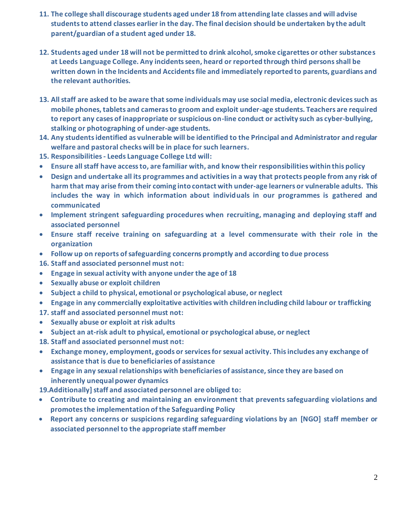- **11. The college shall discourage students aged under 18 from attending late classes and will advise students to attend classes earlier in the day. The final decision should be undertaken by the adult parent/guardian of a student aged under 18.**
- **12. Students aged under 18 will not be permitted to drink alcohol, smoke cigarettes or other substances at Leeds Language College. Any incidents seen, heard or reported through third persons shall be written down in the Incidents and Accidents file and immediately reported to parents, guardians and the relevant authorities.**
- **13. All staff are asked to be aware that some individuals may use social media, electronic devices such as mobile phones, tablets and cameras to groom and exploit under-age students. Teachers are required to report any cases of inappropriate or suspicious on-line conduct or activity such as cyber-bullying, stalking or photographing of under-age students.**
- **14. Any students identified as vulnerable will be identified to the Principal and Administrator and regular welfare and pastoral checks will be in place for such learners.**
- **15. Responsibilities - Leeds Language College Ltd will:**
- **Ensure all staff have access to, are familiar with, and know their responsibilities within this policy**
- **Design and undertake all its programmes and activities in a way that protects people from any risk of harm that may arise from their coming into contact with under-age learners or vulnerable adults. This includes the way in which information about individuals in our programmes is gathered and communicated**
- **Implement stringent safeguarding procedures when recruiting, managing and deploying staff and associated personnel**
- **Ensure staff receive training on safeguarding at a level commensurate with their role in the organization**
- **Follow up on reports of safeguarding concerns promptly and according to due process**
- **16. Staff and associated personnel must not:**
- **Engage in sexual activity with anyone under the age of 18**
- **Sexually abuse or exploit children**
- **Subject a child to physical, emotional or psychological abuse, or neglect**
- **Engage in any commercially exploitative activities with children including child labour or trafficking**
- **17. staff and associated personnel must not:**
- **Sexually abuse or exploit at risk adults**
- **Subject an at-risk adult to physical, emotional or psychological abuse, or neglect**
- **18. Staff and associated personnel must not:**
- **Exchange money, employment, goods or services for sexual activity. This includes any exchange of assistance that is due to beneficiaries of assistance**
- **Engage in any sexual relationships with beneficiaries of assistance, since they are based on inherently unequal power dynamics**
- **19.Additionally] staff and associated personnel are obliged to:**
- **Contribute to creating and maintaining an environment that prevents safeguarding violations and promotes the implementation of the Safeguarding Policy**
- **Report any concerns or suspicions regarding safeguarding violations by an [NGO] staff member or associated personnel to the appropriate staff member**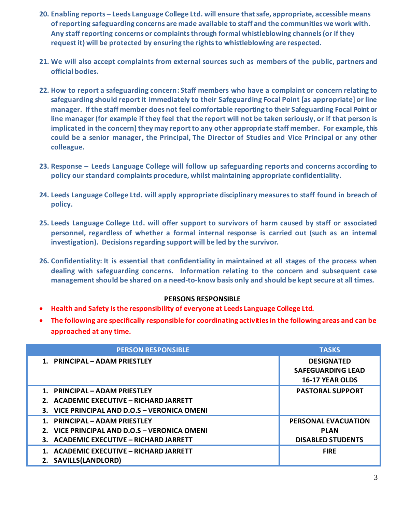- **20. Enabling reports – Leeds Language College Ltd. will ensure that safe, appropriate, accessible means of reporting safeguarding concerns are made available to staff and the communities we work with. Any staff reporting concerns or complaints through formal whistleblowing channels (or if they request it) will be protected by ensuring the rights to whistleblowing are respected.**
- **21. We will also accept complaints from external sources such as members of the public, partners and official bodies.**
- **22. How to report a safeguarding concern: Staff members who have a complaint or concern relating to safeguarding should report it immediately to their Safeguarding Focal Point [as appropriate] or line manager. If the staff member does not feel comfortable reporting to their Safeguarding Focal Point or line manager (for example if they feel that the report will not be taken seriously, or if that person is implicated in the concern) they may report to any other appropriate staff member. For example, this could be a senior manager, the Principal, The Director of Studies and Vice Principal or any other colleague.**
- **23. Response – Leeds Language College will follow up safeguarding reports and concerns according to policy our standard complaints procedure, whilst maintaining appropriate confidentiality.**
- **24. Leeds Language College Ltd. will apply appropriate disciplinary measures to staff found in breach of policy.**
- **25. Leeds Language College Ltd. will offer support to survivors of harm caused by staff or associated personnel, regardless of whether a formal internal response is carried out (such as an internal investigation). Decisions regarding support will be led by the survivor.**
- **26. Confidentiality: It is essential that confidentiality in maintained at all stages of the process when dealing with safeguarding concerns. Information relating to the concern and subsequent case management should be shared on a need-to-know basis only and should be kept secure at all times.**

## **PERSONS RESPONSIBLE**

- **Health and Safety is the responsibility of everyone at Leeds Language College Ltd.**
- **The following are specifically responsible for coordinating activities in the following areas and can be approached at any time.**

| <b>PERSON RESPONSIBLE</b>                    | <b>TASKS</b>               |
|----------------------------------------------|----------------------------|
| 1. PRINCIPAL - ADAM PRIESTLEY                | <b>DESIGNATED</b>          |
|                                              | <b>SAFEGUARDING LEAD</b>   |
|                                              | <b>16-17 YEAR OLDS</b>     |
| 1. PRINCIPAL - ADAM PRIESTLEY                | <b>PASTORAL SUPPORT</b>    |
| 2. ACADEMIC EXECUTIVE - RICHARD JARRETT      |                            |
| 3. VICE PRINCIPAL AND D.O.S - VERONICA OMENI |                            |
| 1. PRINCIPAL – ADAM PRIESTLEY                | <b>PERSONAL EVACUATION</b> |
| 2. VICE PRINCIPAL AND D.O.S - VERONICA OMENI | <b>PLAN</b>                |
| 3. ACADEMIC EXECUTIVE - RICHARD JARRETT      | <b>DISABLED STUDENTS</b>   |
| ACADEMIC EXECUTIVE - RICHARD JARRETT         | <b>FIRE</b>                |
| 2. SAVILLS(LANDLORD)                         |                            |